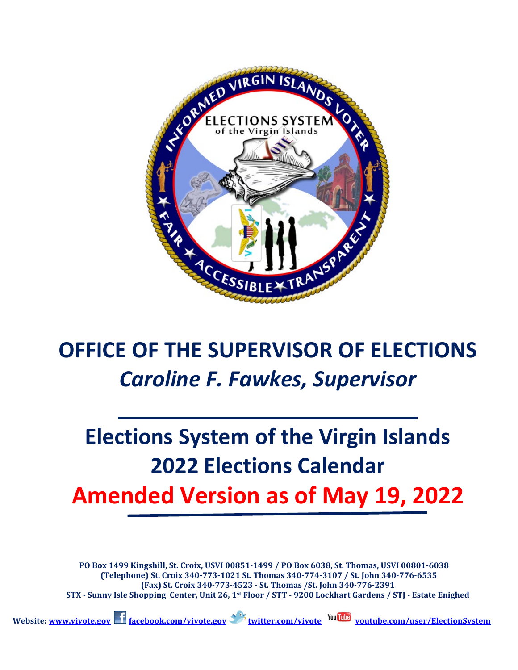

## **OFFICE OF THE SUPERVISOR OF ELECTIONS** *Caroline F. Fawkes, Supervisor*

# **Elections System of the Virgin Islands 2022 Elections Calendar Amended Version as of May 19, 2022**

**PO Box 1499 Kingshill, St. Croix, USVI 00851-1499 / PO Box 6038, St. Thomas, USVI 00801-6038 (Telephone) St. Croix 340-773-1021 St. Thomas 340-774-3107 / St. John 340-776-6535 (Fax) St. Croix 340-773-4523 - St. Thomas /St. John 340-776-2391 STX - Sunny Isle Shopping Center, Unit 26, 1st Floor / STT - 9200 Lockhart Gardens / STJ - Estate Enighed**

 **Website[: www.vivote.gov](http://www.vivote.gov/) [facebook.com/vivote.gov](http://www.facebook.com/vivote.gov) [twitter.com/vivote](http://www.twitter.com/vivote) [youtube.com/user/ElectionSystem](http://www.youtube.com/user/ElectionSystem)**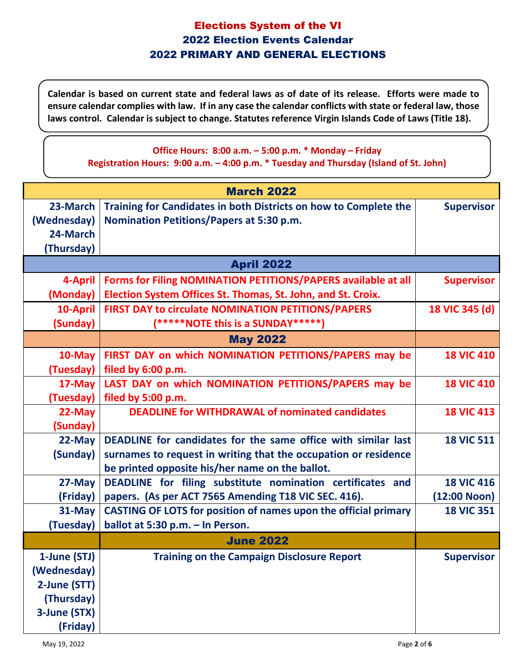**Calendar is based on current state and federal laws as of date of its release. Efforts were made to ensure calendar complies with law. If in any case the calendar conflicts with state or federal law, those laws control. Calendar is subject to change. Statutes reference Virgin Islands Code of Laws (Title 18).**

#### **Office Hours: 8:00 a.m. – 5:00 p.m. \* Monday – Friday Registration Hours: 9:00 a.m. – 4:00 p.m. \* Tuesday and Thursday (Island of St. John)**

| <b>March 2022</b> |                                                                        |                   |  |  |
|-------------------|------------------------------------------------------------------------|-------------------|--|--|
| 23-March          | Training for Candidates in both Districts on how to Complete the       | <b>Supervisor</b> |  |  |
| (Wednesday)       | <b>Nomination Petitions/Papers at 5:30 p.m.</b>                        |                   |  |  |
| 24-March          |                                                                        |                   |  |  |
| (Thursday)        |                                                                        |                   |  |  |
| <b>April 2022</b> |                                                                        |                   |  |  |
| 4-April           | Forms for Filing NOMINATION PETITIONS/PAPERS available at all          | <b>Supervisor</b> |  |  |
| (Monday)          | Election System Offices St. Thomas, St. John, and St. Croix.           |                   |  |  |
| 10-April          | <b>FIRST DAY to circulate NOMINATION PETITIONS/PAPERS</b>              | 18 VIC 345 (d)    |  |  |
| (Sunday)          | (*****NOTE this is a SUNDAY*****)                                      |                   |  |  |
|                   | <b>May 2022</b>                                                        |                   |  |  |
| 10-May            | FIRST DAY on which NOMINATION PETITIONS/PAPERS may be                  | <b>18 VIC 410</b> |  |  |
| (Tuesday)         | filed by 6:00 p.m.                                                     |                   |  |  |
| 17-May            | LAST DAY on which NOMINATION PETITIONS/PAPERS may be                   | <b>18 VIC 410</b> |  |  |
| (Tuesday)         | filed by 5:00 p.m.                                                     |                   |  |  |
| 22-May            | <b>DEADLINE for WITHDRAWAL of nominated candidates</b>                 | <b>18 VIC 413</b> |  |  |
| (Sunday)          |                                                                        |                   |  |  |
| 22-May            | DEADLINE for candidates for the same office with similar last          | <b>18 VIC 511</b> |  |  |
| (Sunday)          | surnames to request in writing that the occupation or residence        |                   |  |  |
|                   | be printed opposite his/her name on the ballot.                        |                   |  |  |
| 27-May            | DEADLINE for filing substitute nomination certificates and             | <b>18 VIC 416</b> |  |  |
| (Friday)          | papers. (As per ACT 7565 Amending T18 VIC SEC. 416).                   | (12:00 Noon)      |  |  |
| $31$ -May         | <b>CASTING OF LOTS for position of names upon the official primary</b> | <b>18 VIC 351</b> |  |  |
| (Tuesday)         | ballot at 5:30 p.m. - In Person.                                       |                   |  |  |
|                   | <b>June 2022</b>                                                       |                   |  |  |
| 1-June (STJ)      | <b>Training on the Campaign Disclosure Report</b>                      | <b>Supervisor</b> |  |  |
| (Wednesday)       |                                                                        |                   |  |  |
| 2-June (STT)      |                                                                        |                   |  |  |
| (Thursday)        |                                                                        |                   |  |  |
| 3-June (STX)      |                                                                        |                   |  |  |
| (Friday)          |                                                                        |                   |  |  |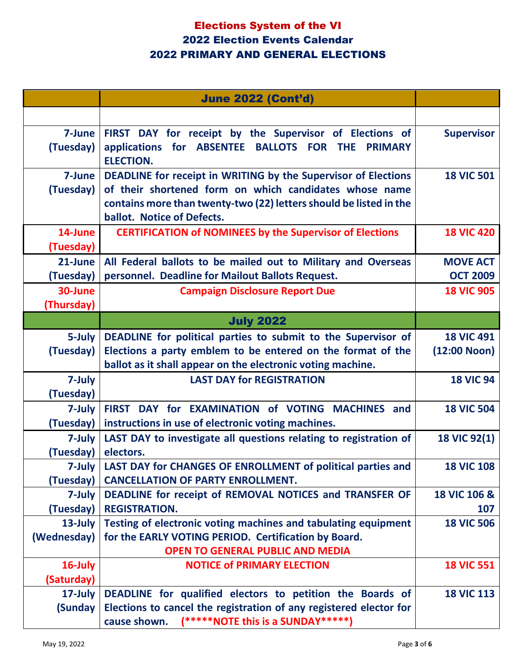|                        | <b>June 2022 (Cont'd)</b>                                                                                                                                                                                                    |                         |
|------------------------|------------------------------------------------------------------------------------------------------------------------------------------------------------------------------------------------------------------------------|-------------------------|
|                        |                                                                                                                                                                                                                              |                         |
| 7-June<br>(Tuesday)    | FIRST DAY for receipt by the Supervisor of Elections of<br>applications for ABSENTEE BALLOTS FOR THE<br><b>PRIMARY</b><br><b>ELECTION.</b>                                                                                   | <b>Supervisor</b>       |
| 7-June<br>(Tuesday)    | DEADLINE for receipt in WRITING by the Supervisor of Elections<br>of their shortened form on which candidates whose name<br>contains more than twenty-two (22) letters should be listed in the<br>ballot. Notice of Defects. | <b>18 VIC 501</b>       |
| 14-June<br>(Tuesday)   | <b>CERTIFICATION of NOMINEES by the Supervisor of Elections</b>                                                                                                                                                              | <b>18 VIC 420</b>       |
| 21-June                | All Federal ballots to be mailed out to Military and Overseas                                                                                                                                                                | <b>MOVE ACT</b>         |
| (Tuesday)              | personnel. Deadline for Mailout Ballots Request.                                                                                                                                                                             | <b>OCT 2009</b>         |
| 30-June<br>(Thursday)  | <b>Campaign Disclosure Report Due</b>                                                                                                                                                                                        | <b>18 VIC 905</b>       |
|                        | <b>July 2022</b>                                                                                                                                                                                                             |                         |
| 5-July                 | DEADLINE for political parties to submit to the Supervisor of                                                                                                                                                                | <b>18 VIC 491</b>       |
| (Tuesday)              | Elections a party emblem to be entered on the format of the<br>ballot as it shall appear on the electronic voting machine.                                                                                                   | $(12:00$ Noon)          |
| 7-July<br>(Tuesday)    | <b>LAST DAY for REGISTRATION</b>                                                                                                                                                                                             | <b>18 VIC 94</b>        |
| 7-July<br>(Tuesday)    | FIRST DAY for EXAMINATION of VOTING MACHINES and<br>instructions in use of electronic voting machines.                                                                                                                       | <b>18 VIC 504</b>       |
| 7-July<br>(Tuesday)    | LAST DAY to investigate all questions relating to registration of<br>electors.                                                                                                                                               | <b>18 VIC 92(1)</b>     |
| (Tuesday)              | 7-July LAST DAY for CHANGES OF ENROLLMENT of political parties and<br><b>CANCELLATION OF PARTY ENROLLMENT.</b>                                                                                                               | <b>18 VIC 108</b>       |
| 7-July                 | DEADLINE for receipt of REMOVAL NOTICES and TRANSFER OF                                                                                                                                                                      | <b>18 VIC 106 &amp;</b> |
| (Tuesday)              | <b>REGISTRATION.</b>                                                                                                                                                                                                         | 107                     |
| 13-July<br>(Wednesday) | Testing of electronic voting machines and tabulating equipment<br>for the EARLY VOTING PERIOD. Certification by Board.<br><b>OPEN TO GENERAL PUBLIC AND MEDIA</b>                                                            | <b>18 VIC 506</b>       |
| 16-July<br>(Saturday)  | <b>NOTICE of PRIMARY ELECTION</b>                                                                                                                                                                                            | <b>18 VIC 551</b>       |
| 17-July                | DEADLINE for qualified electors to petition the Boards of                                                                                                                                                                    | <b>18 VIC 113</b>       |
| (Sunday                | Elections to cancel the registration of any registered elector for<br>(*****NOTE this is a SUNDAY*****)<br>cause shown.                                                                                                      |                         |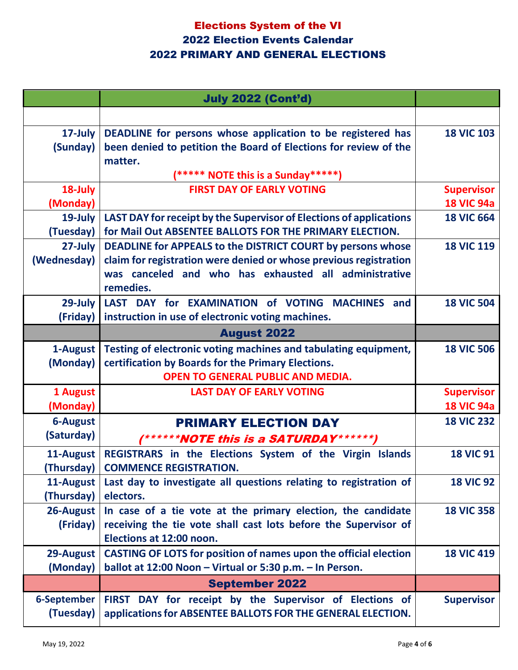|                 | <b>July 2022 (Cont'd)</b>                                                                                                  |                   |
|-----------------|----------------------------------------------------------------------------------------------------------------------------|-------------------|
|                 |                                                                                                                            |                   |
| 17-July         | DEADLINE for persons whose application to be registered has                                                                | <b>18 VIC 103</b> |
| (Sunday)        | been denied to petition the Board of Elections for review of the                                                           |                   |
|                 | matter.                                                                                                                    |                   |
|                 | (***** NOTE this is a Sunday*****)                                                                                         |                   |
| 18-July         | <b>FIRST DAY OF EARLY VOTING</b>                                                                                           | <b>Supervisor</b> |
| (Monday)        |                                                                                                                            | <b>18 VIC 94a</b> |
| 19-July         | LAST DAY for receipt by the Supervisor of Elections of applications                                                        | <b>18 VIC 664</b> |
| (Tuesday)       | for Mail Out ABSENTEE BALLOTS FOR THE PRIMARY ELECTION.                                                                    |                   |
| 27-July         | DEADLINE for APPEALS to the DISTRICT COURT by persons whose                                                                | <b>18 VIC 119</b> |
| (Wednesday)     | claim for registration were denied or whose previous registration<br>was canceled and who has exhausted all administrative |                   |
|                 | remedies.                                                                                                                  |                   |
| $29$ -July      | LAST DAY for EXAMINATION of VOTING<br><b>MACHINES</b> and                                                                  | <b>18 VIC 504</b> |
| (Friday)        | instruction in use of electronic voting machines.                                                                          |                   |
|                 | <b>August 2022</b>                                                                                                         |                   |
| 1-August        | Testing of electronic voting machines and tabulating equipment,                                                            | <b>18 VIC 506</b> |
| (Monday)        | certification by Boards for the Primary Elections.                                                                         |                   |
|                 | OPEN TO GENERAL PUBLIC AND MEDIA.                                                                                          |                   |
| 1 August        | <b>LAST DAY OF EARLY VOTING</b>                                                                                            | <b>Supervisor</b> |
| (Monday)        |                                                                                                                            | <b>18 VIC 94a</b> |
| <b>6-August</b> | <b>PRIMARY ELECTION DAY</b>                                                                                                | <b>18 VIC 232</b> |
| (Saturday)      | (******NOTE this is a SATURDAY******)                                                                                      |                   |
| 11-August       | REGISTRARS in the Elections System of the Virgin Islands                                                                   | <b>18 VIC 91</b>  |
| (Thursday)      | <b>COMMENCE REGISTRATION.</b>                                                                                              |                   |
| 11-August       | Last day to investigate all questions relating to registration of                                                          | <b>18 VIC 92</b>  |
| (Thursday)      | electors.                                                                                                                  |                   |
| 26-August       | In case of a tie vote at the primary election, the candidate                                                               | <b>18 VIC 358</b> |
| (Friday)        | receiving the tie vote shall cast lots before the Supervisor of                                                            |                   |
|                 | Elections at 12:00 noon.                                                                                                   |                   |
| 29-August       | <b>CASTING OF LOTS for position of names upon the official election</b>                                                    | <b>18 VIC 419</b> |
| (Monday)        | ballot at 12:00 Noon - Virtual or 5:30 p.m. - In Person.                                                                   |                   |
|                 | <b>September 2022</b>                                                                                                      |                   |
| 6-September     | FIRST DAY for receipt by the Supervisor of Elections of                                                                    | <b>Supervisor</b> |
| (Tuesday)       | applications for ABSENTEE BALLOTS FOR THE GENERAL ELECTION.                                                                |                   |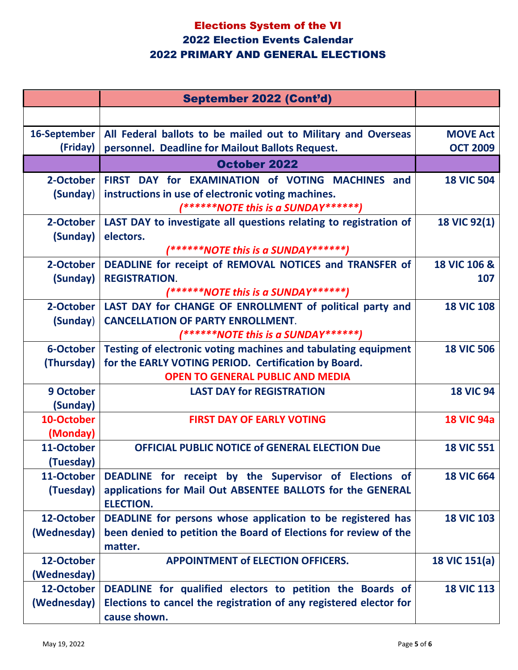|                         | <b>September 2022 (Cont'd)</b>                                                                                       |                         |
|-------------------------|----------------------------------------------------------------------------------------------------------------------|-------------------------|
|                         |                                                                                                                      |                         |
| 16-September            | All Federal ballots to be mailed out to Military and Overseas                                                        | <b>MOVE Act</b>         |
| (Friday)                | personnel. Deadline for Mailout Ballots Request.                                                                     | <b>OCT 2009</b>         |
|                         | October 2022                                                                                                         |                         |
| 2-October               | FIRST DAY for EXAMINATION of VOTING MACHINES and                                                                     | <b>18 VIC 504</b>       |
| (Sunday)                | instructions in use of electronic voting machines.                                                                   |                         |
|                         | (******NOTE this is a SUNDAY******)                                                                                  |                         |
| 2-October<br>(Sunday)   | LAST DAY to investigate all questions relating to registration of<br>electors.                                       | <b>18 VIC 92(1)</b>     |
|                         | (******NOTE this is a SUNDAY******)                                                                                  |                         |
| 2-October               | DEADLINE for receipt of REMOVAL NOTICES and TRANSFER of                                                              | <b>18 VIC 106 &amp;</b> |
| (Sunday)                | <b>REGISTRATION.</b>                                                                                                 | 107                     |
|                         | (******NOTE this is a SUNDAY******)                                                                                  |                         |
| 2-October               | LAST DAY for CHANGE OF ENROLLMENT of political party and                                                             | <b>18 VIC 108</b>       |
| (Sunday)                | <b>CANCELLATION OF PARTY ENROLLMENT.</b>                                                                             |                         |
| 6-October               | (******NOTE this is a SUNDAY******)<br>Testing of electronic voting machines and tabulating equipment                | <b>18 VIC 506</b>       |
| (Thursday)              | for the EARLY VOTING PERIOD. Certification by Board.                                                                 |                         |
|                         | <b>OPEN TO GENERAL PUBLIC AND MEDIA</b>                                                                              |                         |
| 9 October               | <b>LAST DAY for REGISTRATION</b>                                                                                     | <b>18 VIC 94</b>        |
| (Sunday)                |                                                                                                                      |                         |
| 10-October              | <b>FIRST DAY OF EARLY VOTING</b>                                                                                     | <b>18 VIC 94a</b>       |
| (Monday)                |                                                                                                                      |                         |
| 11-October              | <b>OFFICIAL PUBLIC NOTICE of GENERAL ELECTION Due</b>                                                                | <b>18 VIC 551</b>       |
| (Tuesday)<br>11-October |                                                                                                                      | <b>18 VIC 664</b>       |
| (Tuesday)               | DEADLINE for receipt by the Supervisor of Elections of<br>applications for Mail Out ABSENTEE BALLOTS for the GENERAL |                         |
|                         | <b>ELECTION.</b>                                                                                                     |                         |
| 12-October              | DEADLINE for persons whose application to be registered has                                                          | <b>18 VIC 103</b>       |
| (Wednesday)             | been denied to petition the Board of Elections for review of the                                                     |                         |
|                         | matter.                                                                                                              |                         |
| 12-October              | <b>APPOINTMENT of ELECTION OFFICERS.</b>                                                                             | 18 VIC 151(a)           |
| (Wednesday)             |                                                                                                                      |                         |
| 12-October              | DEADLINE for qualified electors to petition the Boards of                                                            | <b>18 VIC 113</b>       |
| (Wednesday)             | Elections to cancel the registration of any registered elector for<br>cause shown.                                   |                         |
|                         |                                                                                                                      |                         |